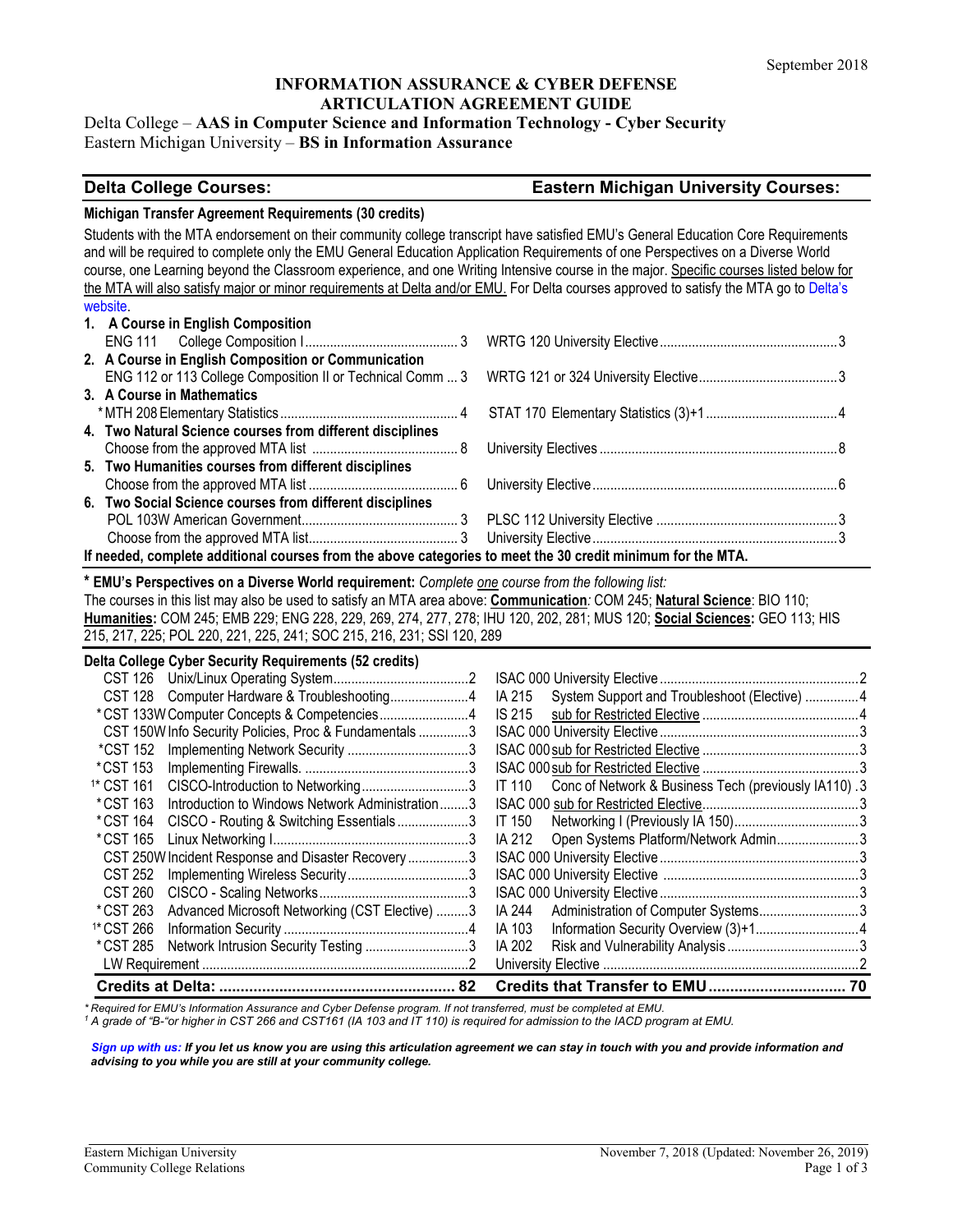## **INFORMATION ASSURANCE & CYBER DEFENSE ARTICULATION AGREEMENT GUIDE**

### Delta College – **AAS in Computer Science and Information Technology - Cyber Security** Eastern Michigan University – **BS in Information Assurance**

### **Delta College Courses: Eastern Michigan University Courses:**

### **Michigan Transfer Agreement Requirements (30 credits)**

Students with the MTA endorsement on their community college transcript have satisfied EMU's General Education Core Requirements and will be required to complete only the EMU General Education Application Requirements of one Perspectives on a Diverse World course, one Learning beyond the Classroom experience, and one Writing Intensive course in the major. Specific courses listed below for the MTA will also satisfy major or minor requirements at Delta and/or EMU. For Delta courses approved to satisfy the MTA go to [Delta's](http://www.delta.edu/programs/current/liberal-arts/general-studies/michigan-transfer-agreement-30-credits/transfer/index.html)  [website.](http://www.delta.edu/programs/current/liberal-arts/general-studies/michigan-transfer-agreement-30-credits/transfer/index.html)

|                                                                                                             | 1. A Course in English Composition                        |  |  |
|-------------------------------------------------------------------------------------------------------------|-----------------------------------------------------------|--|--|
|                                                                                                             |                                                           |  |  |
|                                                                                                             | 2. A Course in English Composition or Communication       |  |  |
|                                                                                                             |                                                           |  |  |
|                                                                                                             | 3. A Course in Mathematics                                |  |  |
|                                                                                                             |                                                           |  |  |
|                                                                                                             | 4. Two Natural Science courses from different disciplines |  |  |
|                                                                                                             |                                                           |  |  |
|                                                                                                             | 5. Two Humanities courses from different disciplines      |  |  |
|                                                                                                             |                                                           |  |  |
|                                                                                                             | 6. Two Social Science courses from different disciplines  |  |  |
|                                                                                                             |                                                           |  |  |
|                                                                                                             |                                                           |  |  |
| If needed, complete additional courses from the above categories to meet the 30 credit minimum for the MTA. |                                                           |  |  |

## **\* EMU's Perspectives on a Diverse World requirement:** *Complete one course from the following list:*

The courses in this list may also be used to satisfy an MTA area above: **Communication***:* COM 245; **Natural Science**: BIO 110; **Humanities:** COM 245; EMB 229; ENG 228, 229, 269, 274, 277, 278; IHU 120, 202, 281; MUS 120; **Social Sciences:** GEO 113; HIS 215, 217, 225; POL 220, 221, 225, 241; SOC 215, 216, 231; SSI 120, 289

| Delta College Cyber Security Requirements (52 credits) |                                                        |                                                                |  |
|--------------------------------------------------------|--------------------------------------------------------|----------------------------------------------------------------|--|
| CST 126                                                |                                                        |                                                                |  |
| <b>CST 128</b>                                         | Computer Hardware & Troubleshooting4                   | IA 215<br>System Support and Troubleshoot (Elective) 4         |  |
|                                                        | *CST 133W Computer Concepts & Competencies4            | IS 215                                                         |  |
|                                                        | CST 150W Info Security Policies, Proc & Fundamentals 3 |                                                                |  |
| *CST 152                                               |                                                        |                                                                |  |
| *CST 153                                               |                                                        |                                                                |  |
| <sup>1*</sup> CST 161                                  | CISCO-Introduction to Networking3                      | Conc of Network & Business Tech (previously IA110).3<br>IT 110 |  |
| *CST 163                                               | Introduction to Windows Network Administration3        |                                                                |  |
| *CST 164                                               | CISCO - Routing & Switching Essentials3                | IT 150                                                         |  |
| *CST 165                                               |                                                        | Open Systems Platform/Network Admin3<br>IA 212                 |  |
|                                                        | CST 250W Incident Response and Disaster Recovery3      |                                                                |  |
| CST 252                                                |                                                        |                                                                |  |
| CST 260                                                |                                                        |                                                                |  |
| *CST 263                                               | Advanced Microsoft Networking (CST Elective) 3         | Administration of Computer Systems3<br>IA 244                  |  |
| <sup>1*</sup> CST 266                                  |                                                        | IA 103                                                         |  |
| *CST 285                                               | Network Intrusion Security Testing 3                   | IA 202                                                         |  |
|                                                        |                                                        |                                                                |  |
|                                                        | 82                                                     |                                                                |  |

*\* Required for EMU's Information Assurance and Cyber Defense program. If not transferred, must be completed at EMU.*

*<sup>1</sup> A grade of "B-"or higher in CST 266 and CST161 (IA 103 and IT 110) is required for admission to the IACD program at EMU.*

*[Sign up with us:](https://www.emich.edu/ccr/articulation-agreements/signup.php) If you let us know you are using this articulation agreement we can stay in touch with you and provide information and advising to you while you are still at your community college.*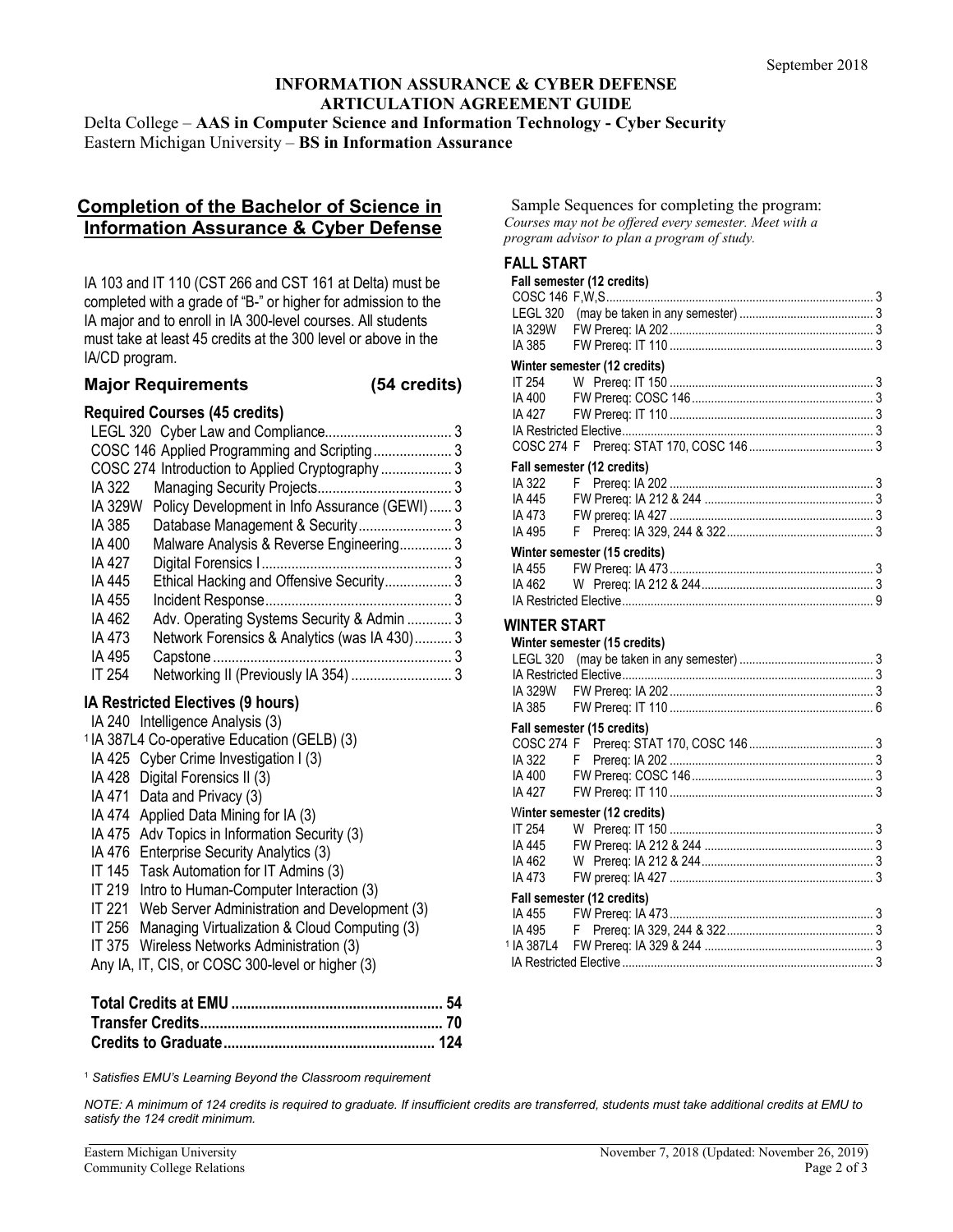# **INFORMATION ASSURANCE & CYBER DEFENSE ARTICULATION AGREEMENT GUIDE**

Delta College – **AAS in Computer Science and Information Technology - Cyber Security** Eastern Michigan University – **BS in Information Assurance**

# **Completion of the Bachelor of Science in Information Assurance & Cyber Defense**

IA 103 and IT 110 (CST 266 and CST 161 at Delta) must be completed with a grade of "B-" or higher for admission to the IA major and to enroll in IA 300-level courses. All students must take at least 45 credits at the 300 level or above in the IA/CD program.

## **Major Requirements (54 credits)**

## **Required Courses (45 credits)**

| IA 322  |                                               |  |
|---------|-----------------------------------------------|--|
| IA 329W | Policy Development in Info Assurance (GEWI) 3 |  |
| IA 385  |                                               |  |
| IA 400  | Malware Analysis & Reverse Engineering 3      |  |
| IA 427  |                                               |  |
| IA 445  | Ethical Hacking and Offensive Security 3      |  |
| IA 455  |                                               |  |
| IA 462  | Adv. Operating Systems Security & Admin  3    |  |
| IA 473  | Network Forensics & Analytics (was IA 430) 3  |  |
| IA 495  |                                               |  |
| IT 254  | Networking II (Previously IA 354)  3          |  |
|         |                                               |  |

# **IA Restricted Electives (9 hours)**

| IA 240 Intelligence Analysis (3)                        |
|---------------------------------------------------------|
| <sup>1</sup> IA 387L4 Co-operative Education (GELB) (3) |
| IA 425 Cyber Crime Investigation I (3)                  |
| IA 428 Digital Forensics II (3)                         |
| IA 471 Data and Privacy (3)                             |
| IA 474 Applied Data Mining for IA (3)                   |
| IA 475 Adv Topics in Information Security (3)           |
| IA 476 Enterprise Security Analytics (3)                |
| IT 145 Task Automation for IT Admins (3)                |
| IT 219 Intro to Human-Computer Interaction (3)          |
| IT 221 Web Server Administration and Development (3)    |
| IT 256 Managing Virtualization & Cloud Computing (3)    |
| IT 375 Wireless Networks Administration (3)             |
| Any IA, IT, CIS, or COSC 300-level or higher (3)        |

Sample Sequences for completing the program: *Courses may not be offered every semester. Meet with a program advisor to plan a program of study.*

# **FALL START**

|                  | Fall semester (12 credits)   |  |
|------------------|------------------------------|--|
|                  |                              |  |
| IA 329W          |                              |  |
| IA 385           |                              |  |
|                  | Winter semester (12 credits) |  |
| IT 254           |                              |  |
| IA 400           |                              |  |
| IA 427           |                              |  |
|                  |                              |  |
|                  |                              |  |
|                  | Fall semester (12 credits)   |  |
| IA 322           |                              |  |
| <b>IA 445</b>    |                              |  |
| IA 473           |                              |  |
| IA 495           |                              |  |
|                  | Winter semester (15 credits) |  |
| IA 455           |                              |  |
| IA 462           |                              |  |
|                  |                              |  |
| WINTER START     |                              |  |
|                  | Winter semester (15 credits) |  |
|                  |                              |  |
|                  |                              |  |
|                  |                              |  |
| IA 385           |                              |  |
|                  | Fall semester (15 credits)   |  |
|                  |                              |  |
| IA 322<br>IA 400 |                              |  |
| IA 427           |                              |  |
|                  |                              |  |
| IT 254           | Winter semester (12 credits) |  |
| IA 445           |                              |  |
| IA 462           |                              |  |
| IA 473           |                              |  |
|                  | Fall semester (12 credits)   |  |
| IA 455           |                              |  |
| IA 495           |                              |  |
|                  |                              |  |
|                  |                              |  |

<sup>1</sup> *Satisfies EMU's Learning Beyond the Classroom requirement*

*NOTE: A minimum of 124 credits is required to graduate. If insufficient credits are transferred, students must take additional credits at EMU to satisfy the 124 credit minimum.*